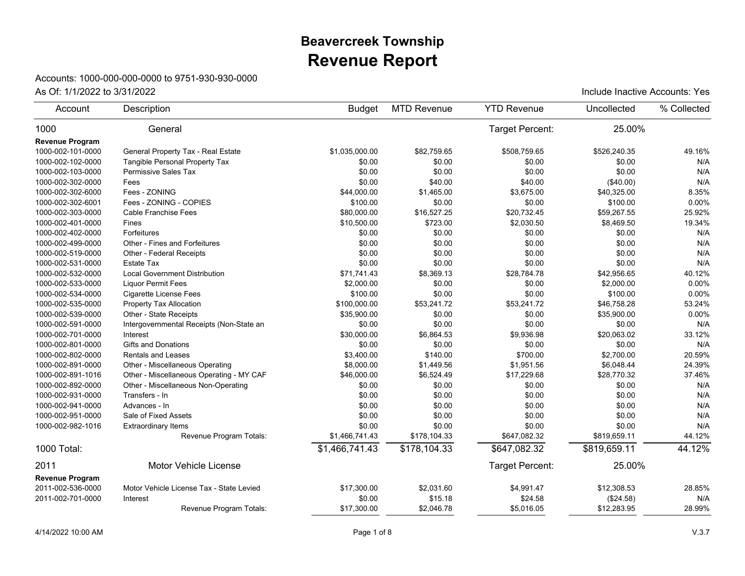## **Revenue Report Beavercreek Township**

## Accounts: 1000-000-000-0000 to 9751-930-930-0000

| Account                | Description                              | <b>Budget</b>  | <b>MTD Revenue</b> | <b>YTD Revenue</b> | Uncollected  | % Collected |
|------------------------|------------------------------------------|----------------|--------------------|--------------------|--------------|-------------|
| 1000                   | General                                  |                |                    | Target Percent:    | 25.00%       |             |
| <b>Revenue Program</b> |                                          |                |                    |                    |              |             |
| 1000-002-101-0000      | General Property Tax - Real Estate       | \$1.035.000.00 | \$82.759.65        | \$508.759.65       | \$526.240.35 | 49.16%      |
| 1000-002-102-0000      | Tangible Personal Property Tax           | \$0.00         | \$0.00             | \$0.00             | \$0.00       | N/A         |
| 1000-002-103-0000      | Permissive Sales Tax                     | \$0.00         | \$0.00             | \$0.00             | \$0.00       | N/A         |
| 1000-002-302-0000      | Fees                                     | \$0.00         | \$40.00            | \$40.00            | (\$40.00)    | N/A         |
| 1000-002-302-6000      | Fees - ZONING                            | \$44,000.00    | \$1,465.00         | \$3,675.00         | \$40,325.00  | 8.35%       |
| 1000-002-302-6001      | Fees - ZONING - COPIES                   | \$100.00       | \$0.00             | \$0.00             | \$100.00     | 0.00%       |
| 1000-002-303-0000      | Cable Franchise Fees                     | \$80,000.00    | \$16,527.25        | \$20,732.45        | \$59,267.55  | 25.92%      |
| 1000-002-401-0000      | Fines                                    | \$10,500.00    | \$723.00           | \$2,030.50         | \$8,469.50   | 19.34%      |
| 1000-002-402-0000      | Forfeitures                              | \$0.00         | \$0.00             | \$0.00             | \$0.00       | N/A         |
| 1000-002-499-0000      | Other - Fines and Forfeitures            | \$0.00         | \$0.00             | \$0.00             | \$0.00       | N/A         |
| 1000-002-519-0000      | Other - Federal Receipts                 | \$0.00         | \$0.00             | \$0.00             | \$0.00       | N/A         |
| 1000-002-531-0000      | Estate Tax                               | \$0.00         | \$0.00             | \$0.00             | \$0.00       | N/A         |
| 1000-002-532-0000      | <b>Local Government Distribution</b>     | \$71,741.43    | \$8,369.13         | \$28,784.78        | \$42,956.65  | 40.12%      |
| 1000-002-533-0000      | <b>Liquor Permit Fees</b>                | \$2,000.00     | \$0.00             | \$0.00             | \$2,000.00   | 0.00%       |
| 1000-002-534-0000      | <b>Cigarette License Fees</b>            | \$100.00       | \$0.00             | \$0.00             | \$100.00     | 0.00%       |
| 1000-002-535-0000      | Property Tax Allocation                  | \$100,000.00   | \$53,241.72        | \$53,241.72        | \$46,758.28  | 53.24%      |
| 1000-002-539-0000      | Other - State Receipts                   | \$35,900.00    | \$0.00             | \$0.00             | \$35,900.00  | 0.00%       |
| 1000-002-591-0000      | Intergovernmental Receipts (Non-State an | \$0.00         | \$0.00             | \$0.00             | \$0.00       | N/A         |
| 1000-002-701-0000      | Interest                                 | \$30,000.00    | \$6,864.53         | \$9,936.98         | \$20,063.02  | 33.12%      |
| 1000-002-801-0000      | <b>Gifts and Donations</b>               | \$0.00         | \$0.00             | \$0.00             | \$0.00       | N/A         |
| 1000-002-802-0000      | <b>Rentals and Leases</b>                | \$3,400.00     | \$140.00           | \$700.00           | \$2,700.00   | 20.59%      |
| 1000-002-891-0000      | Other - Miscellaneous Operating          | \$8,000.00     | \$1,449.56         | \$1,951.56         | \$6.048.44   | 24.39%      |
| 1000-002-891-1016      | Other - Miscellaneous Operating - MY CAF | \$46,000.00    | \$6,524.49         | \$17,229.68        | \$28,770.32  | 37.46%      |
| 1000-002-892-0000      | Other - Miscellaneous Non-Operating      | \$0.00         | \$0.00             | \$0.00             | \$0.00       | N/A         |
| 1000-002-931-0000      | Transfers - In                           | \$0.00         | \$0.00             | \$0.00             | \$0.00       | N/A         |
| 1000-002-941-0000      | Advances - In                            | \$0.00         | \$0.00             | \$0.00             | \$0.00       | N/A         |
| 1000-002-951-0000      | Sale of Fixed Assets                     | \$0.00         | \$0.00             | \$0.00             | \$0.00       | N/A         |
| 1000-002-982-1016      | <b>Extraordinary Items</b>               | \$0.00         | \$0.00             | \$0.00             | \$0.00       | N/A         |
|                        | Revenue Program Totals:                  | \$1,466,741.43 | \$178,104.33       | \$647,082.32       | \$819,659.11 | 44.12%      |
| 1000 Total:            |                                          | \$1,466,741.43 | \$178,104.33       | \$647,082.32       | \$819,659.11 | 44.12%      |
| 2011                   | Motor Vehicle License                    |                |                    | Target Percent:    | 25.00%       |             |
| <b>Revenue Program</b> |                                          |                |                    |                    |              |             |
| 2011-002-536-0000      | Motor Vehicle License Tax - State Levied | \$17,300.00    | \$2,031.60         | \$4,991.47         | \$12,308.53  | 28.85%      |
| 2011-002-701-0000      | Interest                                 | \$0.00         | \$15.18            | \$24.58            | (\$24.58)    | N/A         |
|                        | Revenue Program Totals:                  | \$17,300.00    | \$2,046.78         | \$5,016.05         | \$12,283.95  | 28.99%      |
|                        |                                          |                |                    |                    |              |             |

As Of:  $1/1/2022$  to  $3/31/2022$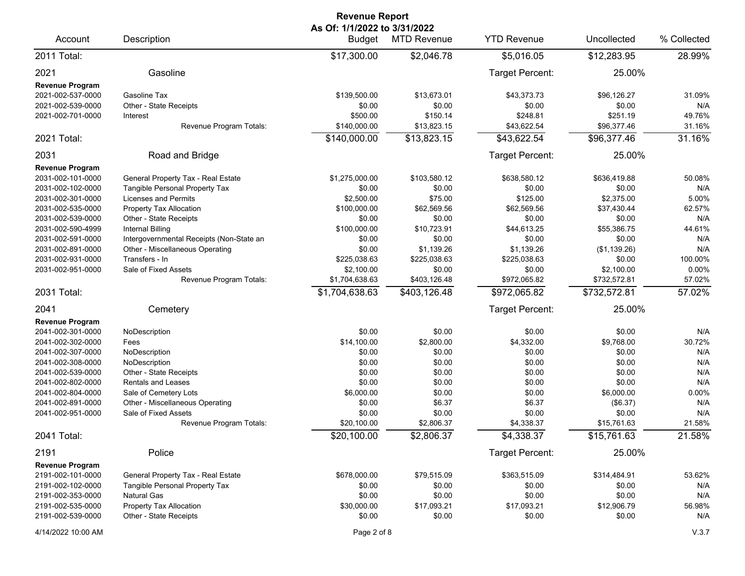| <b>Revenue Report</b>                                                                                                                                                                                          |                                                                                                                                                                                                                                                                                                                                  |                                                                                                                                                      |                                                                                                                                             |                                                                                                                                              |                                                                                                                                                |                                                                                               |  |
|----------------------------------------------------------------------------------------------------------------------------------------------------------------------------------------------------------------|----------------------------------------------------------------------------------------------------------------------------------------------------------------------------------------------------------------------------------------------------------------------------------------------------------------------------------|------------------------------------------------------------------------------------------------------------------------------------------------------|---------------------------------------------------------------------------------------------------------------------------------------------|----------------------------------------------------------------------------------------------------------------------------------------------|------------------------------------------------------------------------------------------------------------------------------------------------|-----------------------------------------------------------------------------------------------|--|
| Account                                                                                                                                                                                                        | Description                                                                                                                                                                                                                                                                                                                      | As Of: 1/1/2022 to 3/31/2022<br><b>Budget</b>                                                                                                        | <b>MTD Revenue</b>                                                                                                                          | <b>YTD Revenue</b>                                                                                                                           | Uncollected                                                                                                                                    | % Collected                                                                                   |  |
| 2011 Total:                                                                                                                                                                                                    |                                                                                                                                                                                                                                                                                                                                  | \$17,300.00                                                                                                                                          | \$2,046.78                                                                                                                                  | \$5,016.05                                                                                                                                   | \$12,283.95                                                                                                                                    | 28.99%                                                                                        |  |
| 2021<br><b>Revenue Program</b>                                                                                                                                                                                 | Gasoline                                                                                                                                                                                                                                                                                                                         |                                                                                                                                                      |                                                                                                                                             | Target Percent:                                                                                                                              | 25.00%                                                                                                                                         |                                                                                               |  |
| 2021-002-537-0000<br>2021-002-539-0000<br>2021-002-701-0000                                                                                                                                                    | Gasoline Tax<br>Other - State Receipts<br>Interest                                                                                                                                                                                                                                                                               | \$139,500.00<br>\$0.00<br>\$500.00                                                                                                                   | \$13,673.01<br>\$0.00<br>\$150.14                                                                                                           | \$43,373.73<br>\$0.00<br>\$248.81                                                                                                            | \$96,126.27<br>\$0.00<br>\$251.19                                                                                                              | 31.09%<br>N/A<br>49.76%                                                                       |  |
| 2021 Total:                                                                                                                                                                                                    | Revenue Program Totals:                                                                                                                                                                                                                                                                                                          | \$140,000.00<br>\$140,000.00                                                                                                                         | \$13,823.15<br>\$13,823.15                                                                                                                  | \$43,622.54<br>\$43,622.54                                                                                                                   | \$96,377.46<br>\$96,377.46                                                                                                                     | 31.16%<br>31.16%                                                                              |  |
| 2031                                                                                                                                                                                                           | Road and Bridge                                                                                                                                                                                                                                                                                                                  |                                                                                                                                                      |                                                                                                                                             | Target Percent:                                                                                                                              | 25.00%                                                                                                                                         |                                                                                               |  |
| <b>Revenue Program</b>                                                                                                                                                                                         |                                                                                                                                                                                                                                                                                                                                  |                                                                                                                                                      |                                                                                                                                             |                                                                                                                                              |                                                                                                                                                |                                                                                               |  |
| 2031-002-101-0000<br>2031-002-102-0000<br>2031-002-301-0000<br>2031-002-535-0000<br>2031-002-539-0000<br>2031-002-590-4999<br>2031-002-591-0000<br>2031-002-891-0000<br>2031-002-931-0000<br>2031-002-951-0000 | General Property Tax - Real Estate<br>Tangible Personal Property Tax<br>Licenses and Permits<br><b>Property Tax Allocation</b><br>Other - State Receipts<br>Internal Billing<br>Intergovernmental Receipts (Non-State an<br>Other - Miscellaneous Operating<br>Transfers - In<br>Sale of Fixed Assets<br>Revenue Program Totals: | \$1,275,000.00<br>\$0.00<br>\$2,500.00<br>\$100,000.00<br>\$0.00<br>\$100,000.00<br>\$0.00<br>\$0.00<br>\$225,038.63<br>\$2,100.00<br>\$1,704,638.63 | \$103,580.12<br>\$0.00<br>\$75.00<br>\$62,569.56<br>\$0.00<br>\$10,723.91<br>\$0.00<br>\$1,139.26<br>\$225,038.63<br>\$0.00<br>\$403,126.48 | \$638,580.12<br>\$0.00<br>\$125.00<br>\$62.569.56<br>\$0.00<br>\$44,613.25<br>\$0.00<br>\$1,139.26<br>\$225,038.63<br>\$0.00<br>\$972,065.82 | \$636,419.88<br>\$0.00<br>\$2,375.00<br>\$37,430.44<br>\$0.00<br>\$55,386.75<br>\$0.00<br>(\$1,139.26)<br>\$0.00<br>\$2,100.00<br>\$732,572.81 | 50.08%<br>N/A<br>5.00%<br>62.57%<br>N/A<br>44.61%<br>N/A<br>N/A<br>100.00%<br>0.00%<br>57.02% |  |
| 2031 Total:                                                                                                                                                                                                    |                                                                                                                                                                                                                                                                                                                                  | \$1,704,638.63                                                                                                                                       | \$403,126.48                                                                                                                                | \$972,065.82                                                                                                                                 | \$732,572.81                                                                                                                                   | 57.02%                                                                                        |  |
| 2041                                                                                                                                                                                                           | Cemetery                                                                                                                                                                                                                                                                                                                         |                                                                                                                                                      |                                                                                                                                             | Target Percent:                                                                                                                              | 25.00%                                                                                                                                         |                                                                                               |  |
| Revenue Program<br>2041-002-301-0000<br>2041-002-302-0000<br>2041-002-307-0000<br>2041-002-308-0000<br>2041-002-539-0000<br>2041-002-802-0000<br>2041-002-804-0000<br>2041-002-891-0000<br>2041-002-951-0000   | NoDescription<br>Fees<br>NoDescription<br>NoDescription<br>Other - State Receipts<br><b>Rentals and Leases</b><br>Sale of Cemetery Lots<br>Other - Miscellaneous Operating<br>Sale of Fixed Assets<br>Revenue Program Totals:                                                                                                    | \$0.00<br>\$14,100.00<br>\$0.00<br>\$0.00<br>\$0.00<br>\$0.00<br>\$6,000.00<br>\$0.00<br>\$0.00<br>\$20,100.00                                       | \$0.00<br>\$2,800.00<br>\$0.00<br>\$0.00<br>\$0.00<br>\$0.00<br>\$0.00<br>\$6.37<br>\$0.00<br>\$2,806.37                                    | \$0.00<br>\$4,332.00<br>\$0.00<br>\$0.00<br>\$0.00<br>\$0.00<br>\$0.00<br>\$6.37<br>\$0.00<br>\$4,338.37                                     | \$0.00<br>\$9,768.00<br>\$0.00<br>\$0.00<br>\$0.00<br>\$0.00<br>\$6,000.00<br>(\$6.37)<br>\$0.00<br>\$15,761.63                                | N/A<br>30.72%<br>N/A<br>N/A<br>N/A<br>N/A<br>0.00%<br>N/A<br>N/A<br>21.58%                    |  |
| 2041 Total:                                                                                                                                                                                                    |                                                                                                                                                                                                                                                                                                                                  | \$20,100.00                                                                                                                                          | \$2,806.37                                                                                                                                  | \$4,338.37                                                                                                                                   | \$15,761.63                                                                                                                                    | 21.58%                                                                                        |  |
| 2191                                                                                                                                                                                                           | Police                                                                                                                                                                                                                                                                                                                           |                                                                                                                                                      |                                                                                                                                             | Target Percent:                                                                                                                              | 25.00%                                                                                                                                         |                                                                                               |  |
| <b>Revenue Program</b><br>2191-002-101-0000<br>2191-002-102-0000<br>2191-002-353-0000<br>2191-002-535-0000<br>2191-002-539-0000<br>4/14/2022 10:00 AM                                                          | General Property Tax - Real Estate<br>Tangible Personal Property Tax<br>Natural Gas<br>Property Tax Allocation<br>Other - State Receipts                                                                                                                                                                                         | \$678,000.00<br>\$0.00<br>\$0.00<br>\$30,000.00<br>\$0.00<br>Page 2 of 8                                                                             | \$79,515.09<br>\$0.00<br>\$0.00<br>\$17,093.21<br>\$0.00                                                                                    | \$363,515.09<br>\$0.00<br>\$0.00<br>\$17,093.21<br>\$0.00                                                                                    | \$314,484.91<br>\$0.00<br>\$0.00<br>\$12,906.79<br>\$0.00                                                                                      | 53.62%<br>N/A<br>N/A<br>56.98%<br>N/A<br>V.3.7                                                |  |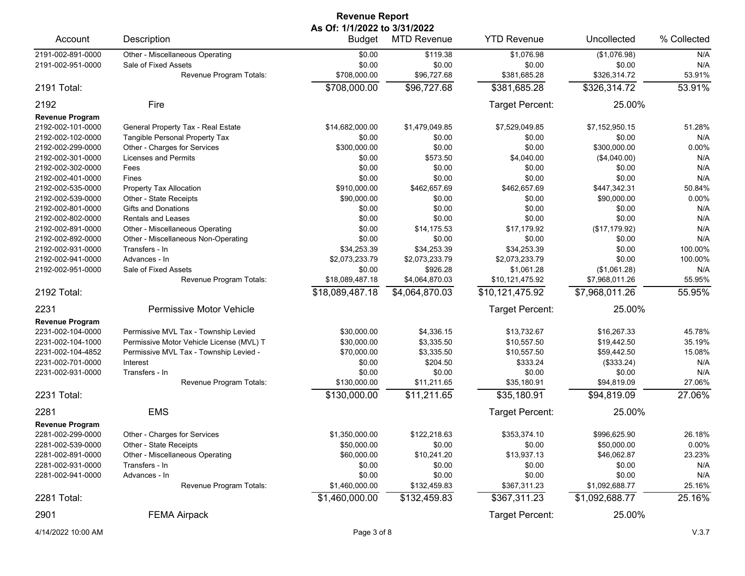| <b>Revenue Report</b><br>As Of: 1/1/2022 to 3/31/2022 |                                          |                 |                    |                    |                |             |  |
|-------------------------------------------------------|------------------------------------------|-----------------|--------------------|--------------------|----------------|-------------|--|
| Account                                               | Description                              | <b>Budget</b>   | <b>MTD Revenue</b> | <b>YTD Revenue</b> | Uncollected    | % Collected |  |
| 2191-002-891-0000                                     | Other - Miscellaneous Operating          | \$0.00          | \$119.38           | \$1,076.98         | (\$1,076.98)   | N/A         |  |
| 2191-002-951-0000                                     | Sale of Fixed Assets                     | \$0.00          | \$0.00             | \$0.00             | \$0.00         | N/A         |  |
|                                                       | Revenue Program Totals:                  | \$708,000.00    | \$96,727.68        | \$381,685.28       | \$326,314.72   | 53.91%      |  |
| 2191 Total:                                           |                                          | \$708,000.00    | \$96,727.68        | \$381,685.28       | \$326,314.72   | 53.91%      |  |
| 2192                                                  | Fire                                     |                 |                    | Target Percent:    | 25.00%         |             |  |
| <b>Revenue Program</b>                                |                                          |                 |                    |                    |                |             |  |
| 2192-002-101-0000                                     | General Property Tax - Real Estate       | \$14,682,000.00 | \$1,479,049.85     | \$7,529,049.85     | \$7,152,950.15 | 51.28%      |  |
| 2192-002-102-0000                                     | Tangible Personal Property Tax           | \$0.00          | \$0.00             | \$0.00             | \$0.00         | N/A         |  |
| 2192-002-299-0000                                     | Other - Charges for Services             | \$300,000.00    | \$0.00             | \$0.00             | \$300,000.00   | 0.00%       |  |
| 2192-002-301-0000                                     | Licenses and Permits                     | \$0.00          | \$573.50           | \$4,040.00         | (\$4,040.00)   | N/A         |  |
| 2192-002-302-0000                                     | Fees                                     | \$0.00          | \$0.00             | \$0.00             | \$0.00         | N/A         |  |
| 2192-002-401-0000                                     | Fines                                    | \$0.00          | \$0.00             | \$0.00             | \$0.00         | N/A         |  |
| 2192-002-535-0000                                     | Property Tax Allocation                  | \$910,000.00    | \$462,657.69       | \$462,657.69       | \$447,342.31   | 50.84%      |  |
| 2192-002-539-0000                                     | Other - State Receipts                   | \$90,000.00     | \$0.00             | \$0.00             | \$90,000.00    | 0.00%       |  |
| 2192-002-801-0000                                     | <b>Gifts and Donations</b>               | \$0.00          | \$0.00             | \$0.00             | \$0.00         | N/A         |  |
| 2192-002-802-0000                                     | <b>Rentals and Leases</b>                | \$0.00          | \$0.00             | \$0.00             | \$0.00         | N/A         |  |
| 2192-002-891-0000                                     | Other - Miscellaneous Operating          | \$0.00          | \$14,175.53        | \$17,179.92        | (\$17,179.92)  | N/A         |  |
| 2192-002-892-0000                                     | Other - Miscellaneous Non-Operating      | \$0.00          | \$0.00             | \$0.00             | \$0.00         | N/A         |  |
| 2192-002-931-0000                                     | Transfers - In                           | \$34,253.39     | \$34,253.39        | \$34,253.39        | \$0.00         | 100.00%     |  |
| 2192-002-941-0000                                     | Advances - In                            | \$2,073,233.79  | \$2,073,233.79     | \$2,073,233.79     | \$0.00         | 100.00%     |  |
| 2192-002-951-0000                                     | Sale of Fixed Assets                     | \$0.00          | \$926.28           | \$1,061.28         | (\$1,061.28)   | N/A         |  |
|                                                       | Revenue Program Totals:                  | \$18,089,487.18 | \$4,064,870.03     | \$10,121,475.92    | \$7,968,011.26 | 55.95%      |  |
| 2192 Total:                                           |                                          | \$18,089,487.18 | \$4,064,870.03     | \$10,121,475.92    | \$7,968,011.26 | 55.95%      |  |
| 2231                                                  | Permissive Motor Vehicle                 |                 |                    | Target Percent:    | 25.00%         |             |  |
| <b>Revenue Program</b>                                |                                          |                 |                    |                    |                |             |  |
| 2231-002-104-0000                                     | Permissive MVL Tax - Township Levied     | \$30,000.00     | \$4,336.15         | \$13,732.67        | \$16,267.33    | 45.78%      |  |
| 2231-002-104-1000                                     | Permissive Motor Vehicle License (MVL) T | \$30,000.00     | \$3,335.50         | \$10,557.50        | \$19,442.50    | 35.19%      |  |
| 2231-002-104-4852                                     | Permissive MVL Tax - Township Levied -   | \$70,000.00     | \$3,335.50         | \$10,557.50        | \$59,442.50    | 15.08%      |  |
| 2231-002-701-0000                                     | Interest                                 | \$0.00          | \$204.50           | \$333.24           | (\$333.24)     | N/A         |  |
| 2231-002-931-0000                                     | Transfers - In                           | \$0.00          | \$0.00             | \$0.00             | \$0.00         | N/A         |  |
|                                                       | Revenue Program Totals:                  | \$130,000.00    | \$11,211.65        | \$35,180.91        | \$94,819.09    | 27.06%      |  |
| 2231 Total:                                           |                                          | \$130,000.00    | \$11,211.65        | \$35,180.91        | \$94,819.09    | 27.06%      |  |
| 2281                                                  | <b>EMS</b>                               |                 |                    | Target Percent:    | 25.00%         |             |  |
| <b>Revenue Program</b>                                |                                          |                 |                    |                    |                |             |  |
| 2281-002-299-0000                                     | Other - Charges for Services             | \$1,350,000.00  | \$122,218.63       | \$353,374.10       | \$996,625.90   | 26.18%      |  |
| 2281-002-539-0000                                     | Other - State Receipts                   | \$50,000.00     | \$0.00             | \$0.00             | \$50,000.00    | 0.00%       |  |
| 2281-002-891-0000                                     | Other - Miscellaneous Operating          | \$60,000.00     | \$10,241.20        | \$13,937.13        | \$46,062.87    | 23.23%      |  |
| 2281-002-931-0000                                     | Transfers - In                           | \$0.00          | \$0.00             | \$0.00             | \$0.00         | N/A         |  |
| 2281-002-941-0000                                     | Advances - In                            | \$0.00          | \$0.00             | \$0.00             | \$0.00         | N/A         |  |
|                                                       | Revenue Program Totals:                  | \$1,460,000.00  | \$132,459.83       | \$367,311.23       | \$1,092,688.77 | 25.16%      |  |
| 2281 Total:                                           |                                          | \$1,460,000.00  | \$132,459.83       | \$367,311.23       | \$1,092,688.77 | 25.16%      |  |
| 2901                                                  | <b>FEMA Airpack</b>                      |                 |                    | Target Percent:    | 25.00%         |             |  |

4/14/2022 10:00 AM Page 3 of 8 V.3.7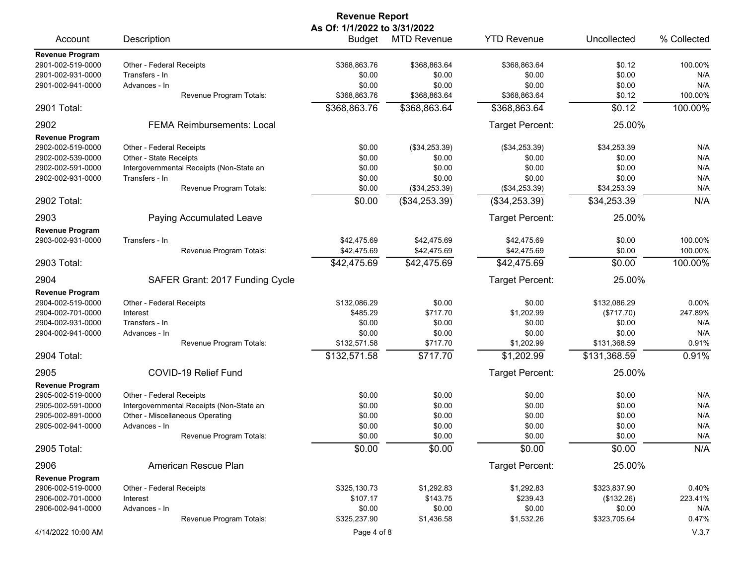| <b>Revenue Report</b>                       |                                            |                              |                    |                        |                  |             |  |
|---------------------------------------------|--------------------------------------------|------------------------------|--------------------|------------------------|------------------|-------------|--|
|                                             |                                            | As Of: 1/1/2022 to 3/31/2022 |                    |                        |                  |             |  |
| Account                                     | Description                                | Budget                       | <b>MTD Revenue</b> | <b>YTD Revenue</b>     | Uncollected      | % Collected |  |
| Revenue Program                             |                                            |                              |                    |                        |                  |             |  |
| 2901-002-519-0000                           | Other - Federal Receipts<br>Transfers - In | \$368.863.76<br>\$0.00       | \$368,863.64       | \$368,863.64           | \$0.12           | 100.00%     |  |
| 2901-002-931-0000<br>2901-002-941-0000      | Advances - In                              | \$0.00                       | \$0.00<br>\$0.00   | \$0.00<br>\$0.00       | \$0.00<br>\$0.00 | N/A<br>N/A  |  |
|                                             | Revenue Program Totals:                    | \$368,863.76                 | \$368,863.64       | \$368,863.64           | \$0.12           | 100.00%     |  |
| 2901 Total:                                 |                                            | \$368,863.76                 | \$368,863.64       | \$368,863.64           | \$0.12           | 100.00%     |  |
| 2902                                        | <b>FEMA Reimbursements: Local</b>          |                              |                    | Target Percent:        | 25.00%           |             |  |
|                                             |                                            |                              |                    |                        |                  |             |  |
| <b>Revenue Program</b><br>2902-002-519-0000 | Other - Federal Receipts                   | \$0.00                       | (\$34,253.39)      | (\$34,253.39)          | \$34,253.39      | N/A         |  |
| 2902-002-539-0000                           | Other - State Receipts                     | \$0.00                       | \$0.00             | \$0.00                 | \$0.00           | N/A         |  |
| 2902-002-591-0000                           | Intergovernmental Receipts (Non-State an   | \$0.00                       | \$0.00             | \$0.00                 | \$0.00           | N/A         |  |
| 2902-002-931-0000                           | Transfers - In                             | \$0.00                       | \$0.00             | \$0.00                 | \$0.00           | N/A         |  |
|                                             | Revenue Program Totals:                    | \$0.00                       | (\$34,253.39)      | (\$34,253.39)          | \$34,253.39      | N/A         |  |
| 2902 Total:                                 |                                            | \$0.00                       | (\$34,253.39)      | (\$34,253.39)          | \$34,253.39      | N/A         |  |
| 2903                                        | Paying Accumulated Leave                   |                              |                    | Target Percent:        | 25.00%           |             |  |
| <b>Revenue Program</b>                      |                                            |                              |                    |                        |                  |             |  |
| 2903-002-931-0000                           | Transfers - In                             | \$42.475.69                  | \$42,475.69        | \$42.475.69            | \$0.00           | 100.00%     |  |
|                                             | Revenue Program Totals:                    | \$42,475.69                  | \$42,475.69        | \$42,475.69            | \$0.00           | 100.00%     |  |
| 2903 Total:                                 |                                            | \$42,475.69                  | \$42,475.69        | \$42,475.69            | \$0.00           | 100.00%     |  |
| 2904                                        | SAFER Grant: 2017 Funding Cycle            |                              |                    | Target Percent:        | 25.00%           |             |  |
| <b>Revenue Program</b>                      |                                            |                              |                    |                        |                  |             |  |
| 2904-002-519-0000                           | Other - Federal Receipts                   | \$132,086.29                 | \$0.00             | \$0.00                 | \$132,086.29     | 0.00%       |  |
|                                             |                                            | \$485.29                     | \$717.70           |                        |                  |             |  |
| 2904-002-701-0000                           | Interest                                   |                              |                    | \$1,202.99             | (\$717.70)       | 247.89%     |  |
| 2904-002-931-0000                           | Transfers - In                             | \$0.00                       | \$0.00             | \$0.00                 | \$0.00           | N/A         |  |
| 2904-002-941-0000                           | Advances - In                              | \$0.00                       | \$0.00             | \$0.00                 | \$0.00           | N/A         |  |
|                                             | Revenue Program Totals:                    | \$132,571.58                 | \$717.70           | \$1,202.99             | \$131,368.59     | 0.91%       |  |
| 2904 Total:                                 |                                            | \$132,571.58                 | \$717.70           | \$1,202.99             | \$131,368.59     | 0.91%       |  |
| 2905                                        | COVID-19 Relief Fund                       |                              |                    | Target Percent:        | 25.00%           |             |  |
| <b>Revenue Program</b>                      |                                            |                              |                    |                        |                  |             |  |
| 2905-002-519-0000                           | Other - Federal Receipts                   | \$0.00                       | \$0.00             | \$0.00                 | \$0.00           | N/A         |  |
| 2905-002-591-0000                           | Intergovernmental Receipts (Non-State an   | \$0.00                       | \$0.00             | \$0.00                 | \$0.00           | N/A         |  |
| 2905-002-891-0000                           | Other - Miscellaneous Operating            | \$0.00                       | \$0.00             | \$0.00                 | \$0.00           | N/A         |  |
| 2905-002-941-0000                           | Advances - In                              | \$0.00                       | \$0.00             | \$0.00                 | \$0.00           | N/A         |  |
|                                             | Revenue Program Totals:                    | \$0.00                       | \$0.00             | \$0.00                 | \$0.00           | N/A         |  |
| 2905 Total:                                 |                                            | \$0.00                       | $\overline{$}0.00$ | \$0.00                 | \$0.00           | N/A         |  |
| 2906                                        | American Rescue Plan                       |                              |                    | <b>Target Percent:</b> | 25.00%           |             |  |
| <b>Revenue Program</b>                      |                                            |                              |                    |                        |                  |             |  |
| 2906-002-519-0000                           | Other - Federal Receipts                   | \$325,130.73                 | \$1,292.83         | \$1,292.83             | \$323,837.90     | 0.40%       |  |
| 2906-002-701-0000                           | Interest                                   | \$107.17                     | \$143.75           | \$239.43               | (\$132.26)       | 223.41%     |  |
| 2906-002-941-0000                           | Advances - In                              | \$0.00                       | \$0.00             | \$0.00                 | \$0.00           | N/A         |  |
|                                             | Revenue Program Totals:                    | \$325,237.90                 | \$1,436.58         | \$1,532.26             | \$323,705.64     | 0.47%       |  |
| 4/14/2022 10:00 AM                          |                                            | Page 4 of 8                  |                    |                        |                  | V.3.7       |  |
|                                             |                                            |                              |                    |                        |                  |             |  |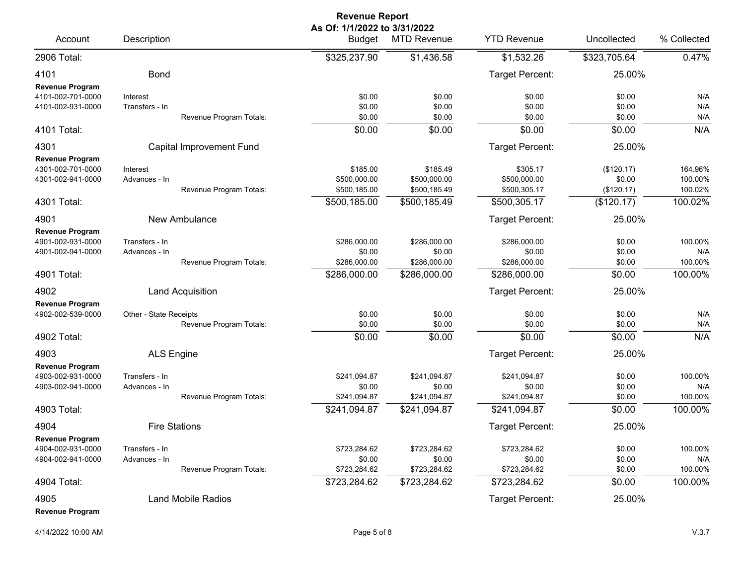|                                                                  |                                 |                                 | <b>Revenue Report</b>                         |                                          |                                          |                                    |                               |
|------------------------------------------------------------------|---------------------------------|---------------------------------|-----------------------------------------------|------------------------------------------|------------------------------------------|------------------------------------|-------------------------------|
| Account                                                          | Description                     |                                 | As Of: 1/1/2022 to 3/31/2022<br><b>Budget</b> | <b>MTD Revenue</b>                       | <b>YTD Revenue</b>                       | Uncollected                        | % Collected                   |
| 2906 Total:                                                      |                                 |                                 | \$325,237.90                                  | \$1,436.58                               | \$1,532.26                               | \$323,705.64                       | 0.47%                         |
| 4101<br><b>Revenue Program</b>                                   | <b>Bond</b>                     |                                 |                                               |                                          | Target Percent:                          | 25.00%                             |                               |
| 4101-002-701-0000<br>4101-002-931-0000                           | Interest<br>Transfers - In      | Revenue Program Totals:         | \$0.00<br>\$0.00<br>\$0.00                    | \$0.00<br>\$0.00<br>\$0.00               | \$0.00<br>\$0.00<br>\$0.00               | \$0.00<br>\$0.00<br>\$0.00         | N/A<br>N/A<br>N/A             |
| 4101 Total:                                                      |                                 |                                 | \$0.00                                        | \$0.00                                   | \$0.00                                   | \$0.00                             | N/A                           |
| 4301<br><b>Revenue Program</b>                                   |                                 | <b>Capital Improvement Fund</b> |                                               |                                          | Target Percent:                          | 25.00%                             |                               |
| 4301-002-701-0000<br>4301-002-941-0000                           | Interest<br>Advances - In       | Revenue Program Totals:         | \$185.00<br>\$500,000.00<br>\$500,185.00      | \$185.49<br>\$500,000.00<br>\$500,185.49 | \$305.17<br>\$500,000.00<br>\$500,305.17 | (\$120.17)<br>\$0.00<br>(\$120.17) | 164.96%<br>100.00%<br>100.02% |
| 4301 Total:                                                      |                                 |                                 | \$500,185.00                                  | \$500,185.49                             | \$500,305.17                             | (\$120.17)                         | 100.02%                       |
| 4901                                                             |                                 | New Ambulance                   |                                               |                                          | Target Percent:                          | 25.00%                             |                               |
| <b>Revenue Program</b><br>4901-002-931-0000<br>4901-002-941-0000 | Transfers - In<br>Advances - In | Revenue Program Totals:         | \$286,000.00<br>\$0.00<br>\$286,000.00        | \$286,000.00<br>\$0.00<br>\$286,000.00   | \$286,000.00<br>\$0.00<br>\$286,000.00   | \$0.00<br>\$0.00<br>\$0.00         | 100.00%<br>N/A<br>100.00%     |
| 4901 Total:                                                      |                                 |                                 | \$286,000.00                                  | \$286,000.00                             | \$286,000.00                             | \$0.00                             | 100.00%                       |
| 4902                                                             |                                 | <b>Land Acquisition</b>         |                                               |                                          | Target Percent:                          | 25.00%                             |                               |
| <b>Revenue Program</b><br>4902-002-539-0000                      | Other - State Receipts          | Revenue Program Totals:         | \$0.00<br>\$0.00                              | \$0.00<br>\$0.00                         | \$0.00<br>\$0.00                         | \$0.00<br>\$0.00                   | N/A<br>N/A                    |
| 4902 Total:                                                      |                                 |                                 | \$0.00                                        | \$0.00                                   | \$0.00                                   | \$0.00                             | N/A                           |
| 4903                                                             | <b>ALS Engine</b>               |                                 |                                               |                                          | Target Percent:                          | 25.00%                             |                               |
| <b>Revenue Program</b><br>4903-002-931-0000<br>4903-002-941-0000 | Transfers - In<br>Advances - In | Revenue Program Totals:         | \$241,094.87<br>\$0.00<br>\$241,094.87        | \$241,094.87<br>\$0.00<br>\$241,094.87   | \$241,094.87<br>\$0.00<br>\$241,094.87   | \$0.00<br>\$0.00<br>\$0.00         | 100.00%<br>N/A<br>100.00%     |
| 4903 Total:                                                      |                                 |                                 | \$241,094.87                                  | \$241,094.87                             | \$241,094.87                             | \$0.00                             | 100.00%                       |
| 4904                                                             |                                 | <b>Fire Stations</b>            |                                               |                                          | Target Percent:                          | 25.00%                             |                               |
| <b>Revenue Program</b><br>4904-002-931-0000<br>4904-002-941-0000 | Transfers - In<br>Advances - In | Revenue Program Totals:         | \$723,284.62<br>\$0.00<br>\$723,284.62        | \$723,284.62<br>\$0.00<br>\$723,284.62   | \$723,284.62<br>\$0.00<br>\$723,284.62   | \$0.00<br>\$0.00<br>\$0.00         | 100.00%<br>N/A<br>100.00%     |
| 4904 Total:                                                      |                                 |                                 | \$723,284.62                                  | \$723,284.62                             | \$723,284.62                             | \$0.00                             | 100.00%                       |
| 4905<br><b>Revenue Program</b>                                   |                                 | <b>Land Mobile Radios</b>       |                                               |                                          | Target Percent:                          | 25.00%                             |                               |

## 4/14/2022 10:00 AM Page 5 of 8 V.3.7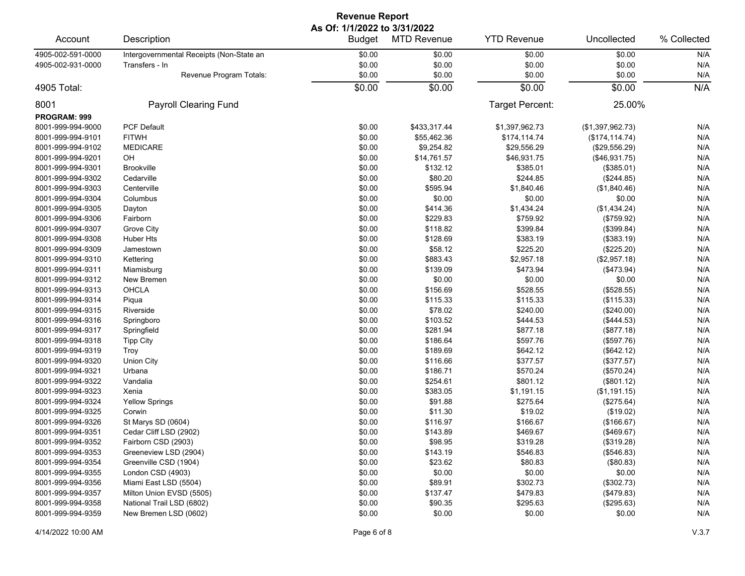| <b>Revenue Report</b> |                                          |                                               |                    |                    |                  |             |  |  |  |
|-----------------------|------------------------------------------|-----------------------------------------------|--------------------|--------------------|------------------|-------------|--|--|--|
| Account               | Description                              | As Of: 1/1/2022 to 3/31/2022<br><b>Budget</b> | <b>MTD Revenue</b> | <b>YTD Revenue</b> | Uncollected      | % Collected |  |  |  |
| 4905-002-591-0000     | Intergovernmental Receipts (Non-State an | \$0.00                                        | \$0.00             | \$0.00             | \$0.00           | N/A         |  |  |  |
| 4905-002-931-0000     | Transfers - In                           | \$0.00                                        | \$0.00             | \$0.00             | \$0.00           | N/A         |  |  |  |
|                       | Revenue Program Totals:                  | \$0.00                                        | \$0.00             | \$0.00             | \$0.00           | N/A         |  |  |  |
| 4905 Total:           |                                          | \$0.00                                        | \$0.00             | \$0.00             | \$0.00           | N/A         |  |  |  |
| 8001                  | Payroll Clearing Fund                    |                                               |                    | Target Percent:    | 25.00%           |             |  |  |  |
| PROGRAM: 999          |                                          |                                               |                    |                    |                  |             |  |  |  |
| 8001-999-994-9000     | <b>PCF Default</b>                       | \$0.00                                        | \$433,317.44       | \$1,397,962.73     | (\$1,397,962.73) | N/A         |  |  |  |
| 8001-999-994-9101     | <b>FITWH</b>                             | \$0.00                                        | \$55,462.36        | \$174,114.74       | (\$174, 114.74)  | N/A         |  |  |  |
| 8001-999-994-9102     | <b>MEDICARE</b>                          | \$0.00                                        | \$9,254.82         | \$29,556.29        | (\$29,556.29)    | N/A         |  |  |  |
| 8001-999-994-9201     | OH                                       | \$0.00                                        | \$14,761.57        | \$46,931.75        | (\$46,931.75)    | N/A         |  |  |  |
| 8001-999-994-9301     | <b>Brookville</b>                        | \$0.00                                        | \$132.12           | \$385.01           | (\$385.01)       | N/A         |  |  |  |
| 8001-999-994-9302     | Cedarville                               | \$0.00                                        | \$80.20            | \$244.85           | (\$244.85)       | N/A         |  |  |  |
| 8001-999-994-9303     | Centerville                              | \$0.00                                        | \$595.94           | \$1,840.46         | (\$1,840.46)     | N/A         |  |  |  |
| 8001-999-994-9304     | Columbus                                 | \$0.00                                        | \$0.00             | \$0.00             | \$0.00           | N/A         |  |  |  |
| 8001-999-994-9305     | Dayton                                   | \$0.00                                        | \$414.36           | \$1,434.24         | (\$1,434.24)     | N/A         |  |  |  |
| 8001-999-994-9306     | Fairborn                                 | \$0.00                                        | \$229.83           | \$759.92           | (\$759.92)       | N/A         |  |  |  |
| 8001-999-994-9307     | Grove City                               | \$0.00                                        | \$118.82           | \$399.84           | (\$399.84)       | N/A         |  |  |  |
| 8001-999-994-9308     | <b>Huber Hts</b>                         | \$0.00                                        | \$128.69           | \$383.19           | (\$383.19)       | N/A         |  |  |  |
| 8001-999-994-9309     | Jamestown                                | \$0.00                                        | \$58.12            | \$225.20           | (\$225.20)       | N/A         |  |  |  |
| 8001-999-994-9310     | Kettering                                | \$0.00                                        | \$883.43           | \$2,957.18         | (\$2,957.18)     | N/A         |  |  |  |
| 8001-999-994-9311     | Miamisburg                               | \$0.00                                        | \$139.09           | \$473.94           | $(*473.94)$      | N/A         |  |  |  |
| 8001-999-994-9312     | New Bremen                               | \$0.00                                        | \$0.00             | \$0.00             | \$0.00           | N/A         |  |  |  |
| 8001-999-994-9313     | OHCLA                                    | \$0.00                                        | \$156.69           | \$528.55           | (\$528.55)       | N/A         |  |  |  |
| 8001-999-994-9314     | Piqua                                    | \$0.00                                        | \$115.33           | \$115.33           | (\$115.33)       | N/A         |  |  |  |
| 8001-999-994-9315     | Riverside                                | \$0.00                                        | \$78.02            | \$240.00           | (\$240.00)       | N/A         |  |  |  |
| 8001-999-994-9316     | Springboro                               | \$0.00                                        | \$103.52           | \$444.53           | (\$444.53)       | N/A         |  |  |  |
| 8001-999-994-9317     | Springfield                              | \$0.00                                        | \$281.94           | \$877.18           | (\$877.18)       | N/A         |  |  |  |
| 8001-999-994-9318     | <b>Tipp City</b>                         | \$0.00                                        | \$186.64           | \$597.76           | (\$597.76)       | N/A         |  |  |  |
| 8001-999-994-9319     | Troy                                     | \$0.00                                        | \$189.69           | \$642.12           | (\$642.12)       | N/A         |  |  |  |
| 8001-999-994-9320     | <b>Union City</b>                        | \$0.00                                        | \$116.66           | \$377.57           | (\$377.57)       | N/A         |  |  |  |
| 8001-999-994-9321     | Urbana                                   | \$0.00                                        | \$186.71           | \$570.24           | (\$570.24)       | N/A         |  |  |  |
| 8001-999-994-9322     | Vandalia                                 | \$0.00                                        | \$254.61           | \$801.12           | (\$801.12)       | N/A         |  |  |  |
| 8001-999-994-9323     | Xenia                                    | \$0.00                                        | \$383.05           | \$1,191.15         | (\$1,191.15)     | N/A         |  |  |  |
| 8001-999-994-9324     | <b>Yellow Springs</b>                    | \$0.00                                        | \$91.88            | \$275.64           | (\$275.64)       | N/A         |  |  |  |
| 8001-999-994-9325     | Corwin                                   | \$0.00                                        | \$11.30            | \$19.02            | (\$19.02)        | N/A         |  |  |  |
| 8001-999-994-9326     | St Marys SD (0604)                       | \$0.00                                        | \$116.97           | \$166.67           | (\$166.67)       | N/A         |  |  |  |
| 8001-999-994-9351     | Cedar Cliff LSD (2902)                   | \$0.00                                        | \$143.89           | \$469.67           | (\$469.67)       | N/A         |  |  |  |
| 8001-999-994-9352     | Fairborn CSD (2903)                      | \$0.00                                        | \$98.95            | \$319.28           | (\$319.28)       | N/A         |  |  |  |
| 8001-999-994-9353     | Greeneview LSD (2904)                    | \$0.00                                        | \$143.19           | \$546.83           | (\$546.83)       | N/A         |  |  |  |
| 8001-999-994-9354     | Greenville CSD (1904)                    | \$0.00                                        | \$23.62            | \$80.83            | (\$80.83)        | N/A         |  |  |  |
| 8001-999-994-9355     | London CSD (4903)                        | \$0.00                                        | \$0.00             | \$0.00             | \$0.00           | N/A         |  |  |  |
| 8001-999-994-9356     | Miami East LSD (5504)                    | \$0.00                                        | \$89.91            | \$302.73           | (\$302.73)       | N/A         |  |  |  |
| 8001-999-994-9357     | Milton Union EVSD (5505)                 | \$0.00                                        | \$137.47           | \$479.83           | (\$479.83)       | N/A         |  |  |  |
| 8001-999-994-9358     | National Trail LSD (6802)                | \$0.00                                        | \$90.35            | \$295.63           | (\$295.63)       | N/A         |  |  |  |
| 8001-999-994-9359     | New Bremen LSD (0602)                    | \$0.00                                        | \$0.00             | \$0.00             | \$0.00           | N/A         |  |  |  |
|                       |                                          |                                               |                    |                    |                  |             |  |  |  |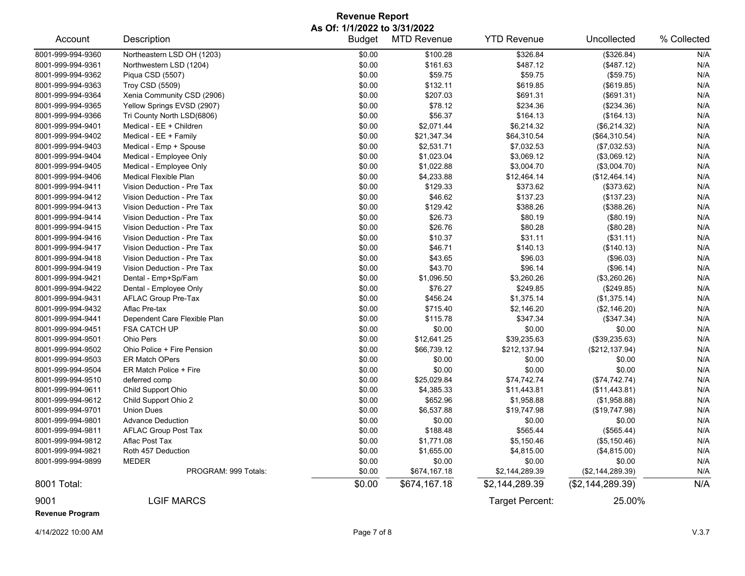## **Revenue Report As Of: 1/1/2022 to 3/31/2022**

| Account                | Description                  | <b>Budget</b> | <b>MTD Revenue</b> | <b>YTD Revenue</b> | Uncollected        | % Collected |
|------------------------|------------------------------|---------------|--------------------|--------------------|--------------------|-------------|
| 8001-999-994-9360      | Northeastern LSD OH (1203)   | \$0.00        | \$100.28           | \$326.84           | (\$326.84)         | N/A         |
| 8001-999-994-9361      | Northwestern LSD (1204)      | \$0.00        | \$161.63           | \$487.12           | (\$487.12)         | N/A         |
| 8001-999-994-9362      | Piqua CSD (5507)             | \$0.00        | \$59.75            | \$59.75            | (\$59.75)          | N/A         |
| 8001-999-994-9363      | <b>Troy CSD (5509)</b>       | \$0.00        | \$132.11           | \$619.85           | (\$619.85)         | N/A         |
| 8001-999-994-9364      | Xenia Community CSD (2906)   | \$0.00        | \$207.03           | \$691.31           | (\$691.31)         | N/A         |
| 8001-999-994-9365      | Yellow Springs EVSD (2907)   | \$0.00        | \$78.12            | \$234.36           | (\$234.36)         | N/A         |
| 8001-999-994-9366      | Tri County North LSD(6806)   | \$0.00        | \$56.37            | \$164.13           | (\$164.13)         | N/A         |
| 8001-999-994-9401      | Medical - EE + Children      | \$0.00        | \$2,071.44         | \$6,214.32         | (\$6,214.32)       | N/A         |
| 8001-999-994-9402      | Medical - EE + Family        | \$0.00        | \$21,347.34        | \$64,310.54        | (\$64,310.54)      | N/A         |
| 8001-999-994-9403      | Medical - Emp + Spouse       | \$0.00        | \$2,531.71         | \$7,032.53         | (\$7,032.53)       | N/A         |
| 8001-999-994-9404      | Medical - Employee Only      | \$0.00        | \$1,023.04         | \$3,069.12         | (\$3,069.12)       | N/A         |
| 8001-999-994-9405      | Medical - Employee Only      | \$0.00        | \$1,022.88         | \$3,004.70         | (\$3,004.70)       | N/A         |
| 8001-999-994-9406      | Medical Flexible Plan        | \$0.00        | \$4,233.88         | \$12,464.14        | (\$12,464.14)      | N/A         |
| 8001-999-994-9411      | Vision Deduction - Pre Tax   | \$0.00        | \$129.33           | \$373.62           | (\$373.62)         | N/A         |
| 8001-999-994-9412      | Vision Deduction - Pre Tax   | \$0.00        | \$46.62            | \$137.23           | (\$137.23)         | N/A         |
| 8001-999-994-9413      | Vision Deduction - Pre Tax   | \$0.00        | \$129.42           | \$388.26           | (\$388.26)         | N/A         |
| 8001-999-994-9414      | Vision Deduction - Pre Tax   | \$0.00        | \$26.73            | \$80.19            | (\$80.19)          | N/A         |
| 8001-999-994-9415      | Vision Deduction - Pre Tax   | \$0.00        | \$26.76            | \$80.28            | (\$80.28)          | N/A         |
| 8001-999-994-9416      | Vision Deduction - Pre Tax   | \$0.00        | \$10.37            | \$31.11            | (\$31.11)          | N/A         |
| 8001-999-994-9417      | Vision Deduction - Pre Tax   | \$0.00        | \$46.71            | \$140.13           | (\$140.13)         | N/A         |
| 8001-999-994-9418      | Vision Deduction - Pre Tax   | \$0.00        | \$43.65            | \$96.03            | (\$96.03)          | N/A         |
| 8001-999-994-9419      | Vision Deduction - Pre Tax   | \$0.00        | \$43.70            | \$96.14            | (\$96.14)          | N/A         |
| 8001-999-994-9421      | Dental - Emp+Sp/Fam          | \$0.00        | \$1,096.50         | \$3,260.26         | (\$3,260.26)       | N/A         |
| 8001-999-994-9422      | Dental - Employee Only       | \$0.00        | \$76.27            | \$249.85           | (\$249.85)         | N/A         |
| 8001-999-994-9431      | <b>AFLAC Group Pre-Tax</b>   | \$0.00        | \$456.24           | \$1,375.14         | (\$1,375.14)       | N/A         |
| 8001-999-994-9432      | Aflac Pre-tax                | \$0.00        | \$715.40           | \$2,146.20         | (\$2,146.20)       | N/A         |
| 8001-999-994-9441      | Dependent Care Flexible Plan | \$0.00        | \$115.78           | \$347.34           | (\$347.34)         | N/A         |
| 8001-999-994-9451      | <b>FSA CATCH UP</b>          | \$0.00        | \$0.00             | \$0.00             | \$0.00             | N/A         |
| 8001-999-994-9501      | Ohio Pers                    | \$0.00        | \$12,641.25        | \$39,235.63        | (\$39,235.63)      | N/A         |
| 8001-999-994-9502      | Ohio Police + Fire Pension   | \$0.00        | \$66,739.12        | \$212,137.94       | (\$212, 137.94)    | N/A         |
| 8001-999-994-9503      | <b>ER Match OPers</b>        | \$0.00        | \$0.00             | \$0.00             | \$0.00             | N/A         |
| 8001-999-994-9504      | ER Match Police + Fire       | \$0.00        | \$0.00             | \$0.00             | \$0.00             | N/A         |
| 8001-999-994-9510      | deferred comp                | \$0.00        | \$25,029.84        | \$74,742.74        | (\$74,742.74)      | N/A         |
| 8001-999-994-9611      | Child Support Ohio           | \$0.00        | \$4,385.33         | \$11,443.81        | (\$11,443.81)      | N/A         |
| 8001-999-994-9612      | Child Support Ohio 2         | \$0.00        | \$652.96           | \$1,958.88         | (\$1,958.88)       | N/A         |
| 8001-999-994-9701      | <b>Union Dues</b>            | \$0.00        | \$6,537.88         | \$19,747.98        | (\$19,747.98)      | N/A         |
| 8001-999-994-9801      | <b>Advance Deduction</b>     | \$0.00        | \$0.00             | \$0.00             | \$0.00             | N/A         |
| 8001-999-994-9811      | <b>AFLAC Group Post Tax</b>  | \$0.00        | \$188.48           | \$565.44           | (\$565.44)         | N/A         |
| 8001-999-994-9812      | Aflac Post Tax               | \$0.00        | \$1,771.08         | \$5,150.46         | (\$5,150.46)       | N/A         |
| 8001-999-994-9821      | Roth 457 Deduction           | \$0.00        | \$1,655.00         | \$4,815.00         | (\$4,815.00)       | N/A         |
| 8001-999-994-9899      | MEDER                        | \$0.00        | \$0.00             | \$0.00             | \$0.00             | N/A         |
|                        | PROGRAM: 999 Totals:         | \$0.00        | \$674,167.18       | \$2,144,289.39     | (\$2, 144, 289.39) | N/A         |
| 8001 Total:            |                              | \$0.00        | \$674,167.18       | \$2,144,289.39     | (\$2,144,289.39)   | N/A         |
| 9001                   | <b>LGIF MARCS</b>            |               |                    | Target Percent:    | 25.00%             |             |
| <b>Revenue Program</b> |                              |               |                    |                    |                    |             |